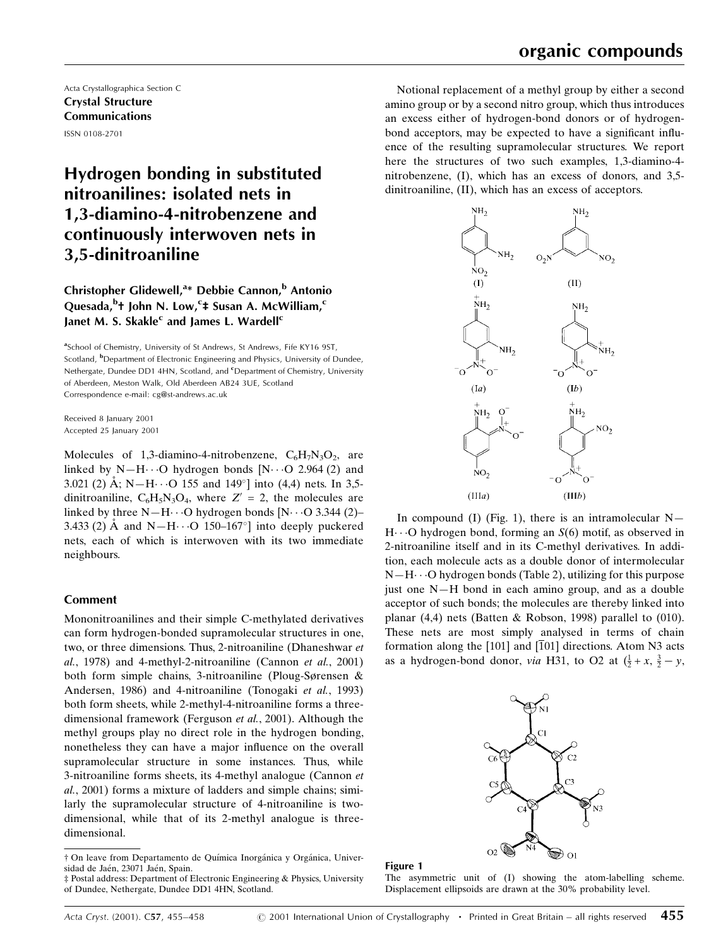Acta Crystallographica Section C Crystal Structure Communications ISSN 0108-2701

# Hydrogen bonding in substituted nitroanilines: isolated nets in 1,3-diamino-4-nitrobenzene and continuously interwoven nets in 3,5-dinitroaniline

# Christopher Glidewell,<sup>a\*</sup> Debbie Cannon,<sup>b</sup> Antonio Quesada,<sup>b</sup>† John N. Low,<sup>c</sup>‡ Susan A. McWilliam,<sup>c</sup> Janet M. S. Skakle<sup>c</sup> and James L. Wardell<sup>c</sup>

<sup>a</sup>School of Chemistry, University of St Andrews, St Andrews, Fife KY16 9ST, Scotland, <sup>b</sup>Department of Electronic Engineering and Physics, University of Dundee, Nethergate, Dundee DD1 4HN, Scotland, and <sup>c</sup>Department of Chemistry, University of Aberdeen, Meston Walk, Old Aberdeen AB24 3UE, Scotland Correspondence e-mail: cg@st-andrews.ac.uk

Received 8 January 2001 Accepted 25 January 2001

Molecules of 1,3-diamino-4-nitrobenzene,  $C_6H_7N_3O_2$ , are linked by N $-H$  $\cdots$ O hydrogen bonds [N $\cdots$ O 2.964 (2) and 3.021 (2) Å; N-H $\cdot$  · O 155 and 149 $^{\circ}$ ] into (4,4) nets. In 3,5dinitroaniline,  $C_6H_5N_3O_4$ , where  $Z' = 2$ , the molecules are linked by three  $N-H\cdots O$  hydrogen bonds  $[N\cdots O]$  3.344 (2) 3.433 (2)  $\AA$  and N-H $\cdots$ O 150-167°] into deeply puckered nets, each of which is interwoven with its two immediate neighbours.

# Comment

Mononitroanilines and their simple C-methylated derivatives can form hydrogen-bonded supramolecular structures in one, two, or three dimensions. Thus, 2-nitroaniline (Dhaneshwar et al., 1978) and 4-methyl-2-nitroaniline (Cannon et al., 2001) both form simple chains, 3-nitroaniline (Ploug-Sørensen  $\&$ Andersen, 1986) and 4-nitroaniline (Tonogaki et al., 1993) both form sheets, while 2-methyl-4-nitroaniline forms a threedimensional framework (Ferguson et al., 2001). Although the methyl groups play no direct role in the hydrogen bonding, nonetheless they can have a major influence on the overall supramolecular structure in some instances. Thus, while 3-nitroaniline forms sheets, its 4-methyl analogue (Cannon et al., 2001) forms a mixture of ladders and simple chains; similarly the supramolecular structure of 4-nitroaniline is twodimensional, while that of its 2-methyl analogue is threedimensional.

Notional replacement of a methyl group by either a second amino group or by a second nitro group, which thus introduces an excess either of hydrogen-bond donors or of hydrogenbond acceptors, may be expected to have a significant influence of the resulting supramolecular structures. We report here the structures of two such examples, 1,3-diamino-4 nitrobenzene, (I), which has an excess of donors, and 3,5 dinitroaniline, (II), which has an excess of acceptors.



In compound (I) (Fig. 1), there is an intramolecular  $N H \cdots$ O hydrogen bond, forming an  $S(6)$  motif, as observed in 2-nitroaniline itself and in its C-methyl derivatives. In addition, each molecule acts as a double donor of intermolecular  $N-H\cdots$ O hydrogen bonds (Table 2), utilizing for this purpose just one  $N-H$  bond in each amino group, and as a double acceptor of such bonds; the molecules are thereby linked into planar (4,4) nets (Batten & Robson, 1998) parallel to (010). These nets are most simply analysed in terms of chain formation along the  $[101]$  and  $[101]$  directions. Atom N3 acts as a hydrogen-bond donor, *via* H31, to O2 at  $(\frac{1}{2} + x, \frac{3}{2} - y,$ 





The asymmetric unit of (I) showing the atom-labelling scheme. Displacement ellipsoids are drawn at the 30% probability level.

 $\dagger$  On leave from Departamento de Química Inorgánica y Orgánica, Universidad de Jaén, 23071 Jaén, Spain.

³ Postal address: Department of Electronic Engineering & Physics, University of Dundee, Nethergate, Dundee DD1 4HN, Scotland.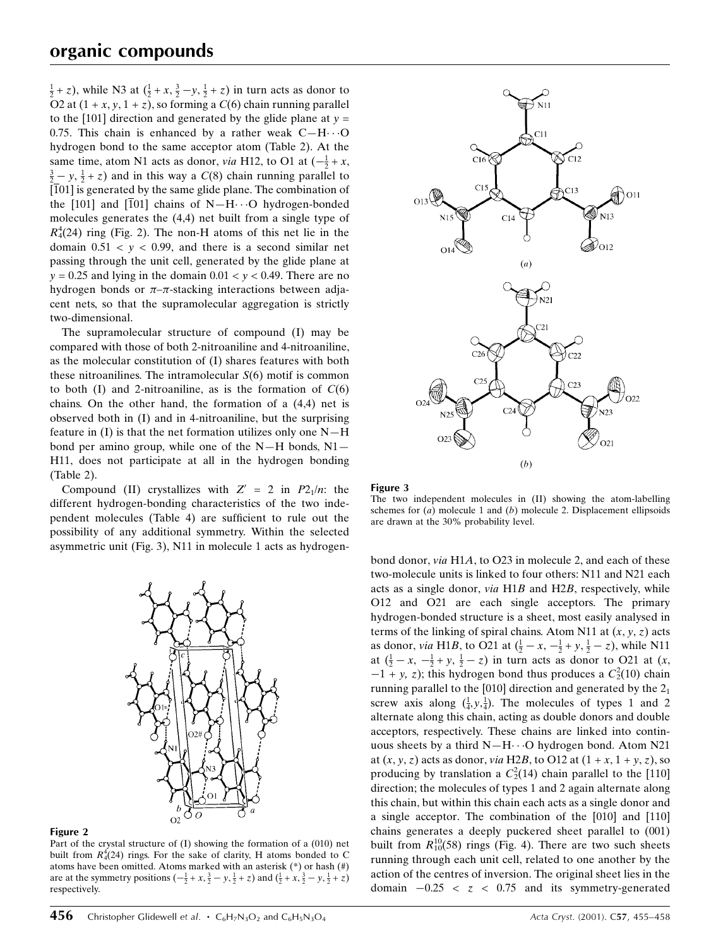$(\frac{1}{2} + z)$ , while N3 at  $(\frac{1}{2} + x, \frac{3}{2} - y, \frac{1}{2} + z)$  in turn acts as donor to O2 at  $(1 + x, y, 1 + z)$ , so forming a  $C(6)$  chain running parallel to the [101] direction and generated by the glide plane at  $y =$ 0.75. This chain is enhanced by a rather weak  $C-H\cdots O$ hydrogen bond to the same acceptor atom (Table 2). At the same time, atom N1 acts as donor, *via* H12, to O1 at  $\left(-\frac{1}{2} + x, \frac{3}{2} - y, \frac{1}{2} + z\right)$  and in this way a  $C(8)$  chain running parallel to  $\frac{3}{2} - y$ ,  $\frac{1}{2} + z$ ) and in this way a  $C(8)$  chain running parallel to  $[101]$  is generated by the same glide plane. The combination of the [101] and  $\overline{101}$  chains of N-H $\cdots$ O hydrogen-bonded molecules generates the (4,4) net built from a single type of  $R_4^4(24)$  ring (Fig. 2). The non-H atoms of this net lie in the domain  $0.51 < y < 0.99$ , and there is a second similar net passing through the unit cell, generated by the glide plane at  $y = 0.25$  and lying in the domain  $0.01 < y < 0.49$ . There are no hydrogen bonds or  $\pi-\pi$ -stacking interactions between adjacent nets, so that the supramolecular aggregation is strictly two-dimensional.

The supramolecular structure of compound (I) may be compared with those of both 2-nitroaniline and 4-nitroaniline, as the molecular constitution of (I) shares features with both these nitroanilines. The intramolecular  $S(6)$  motif is common to both (I) and 2-nitroaniline, as is the formation of  $C(6)$ chains. On the other hand, the formation of a (4,4) net is observed both in (I) and in 4-nitroaniline, but the surprising feature in  $(I)$  is that the net formation utilizes only one  $N-H$ bond per amino group, while one of the  $N-H$  bonds,  $N1$ H11, does not participate at all in the hydrogen bonding (Table 2).

Compound (II) crystallizes with  $Z' = 2$  in  $P2<sub>1</sub>/n$ : the different hydrogen-bonding characteristics of the two independent molecules (Table 4) are sufficient to rule out the possibility of any additional symmetry. Within the selected asymmetric unit (Fig. 3), N11 in molecule 1 acts as hydrogen-



#### Figure 2

Part of the crystal structure of (I) showing the formation of a (010) net built from  $R_4^4(24)$  rings. For the sake of clarity, H atoms bonded to C atoms have been omitted. Atoms marked with an asterisk (\*) or hash (#) are at the symmetry positions  $\left(-\frac{1}{2} + x, \frac{3}{2} - y, \frac{1}{2} + z\right)$  and  $\left(\frac{1}{2} + x, \frac{3}{2} - y, \frac{1}{2} + z\right)$ respectively.



#### Figure 3

The two independent molecules in (II) showing the atom-labelling schemes for  $(a)$  molecule 1 and  $(b)$  molecule 2. Displacement ellipsoids are drawn at the 30% probability level.

bond donor, via H1A, to O23 in molecule 2, and each of these two-molecule units is linked to four others: N11 and N21 each acts as a single donor, via H1B and H2B, respectively, while O12 and O21 are each single acceptors. The primary hydrogen-bonded structure is a sheet, most easily analysed in terms of the linking of spiral chains. Atom N11 at  $(x, y, z)$  acts as donor, *via* H1*B*, to O21 at  $(\frac{1}{2} - x, -\frac{1}{2} + y, \frac{1}{2} - z)$ , while N11 at  $(\frac{1}{2} - x, -\frac{1}{2} + y, \frac{1}{2} - z)$  in turn acts as donor to O21 at  $(x,$  $-1 + y$ , z); this hydrogen bond thus produces a  $C_2^2(10)$  chain running parallel to the [010] direction and generated by the  $2<sub>1</sub>$ screw axis along  $(\frac{1}{4}, y, \frac{1}{4})$ . The molecules of types 1 and 2 alternate along this chain, acting as double donors and double acceptors, respectively. These chains are linked into continuous sheets by a third  $N-H\cdots O$  hydrogen bond. Atom N21 at  $(x, y, z)$  acts as donor, *via* H2*B*, to O12 at  $(1 + x, 1 + y, z)$ , so producing by translation a  $C_2^2(14)$  chain parallel to the [110] direction; the molecules of types 1 and 2 again alternate along this chain, but within this chain each acts as a single donor and a single acceptor. The combination of the [010] and [110] chains generates a deeply puckered sheet parallel to (001) built from  $R_{10}^{10}(58)$  rings (Fig. 4). There are two such sheets running through each unit cell, related to one another by the action of the centres of inversion. The original sheet lies in the domain  $-0.25 < z < 0.75$  and its symmetry-generated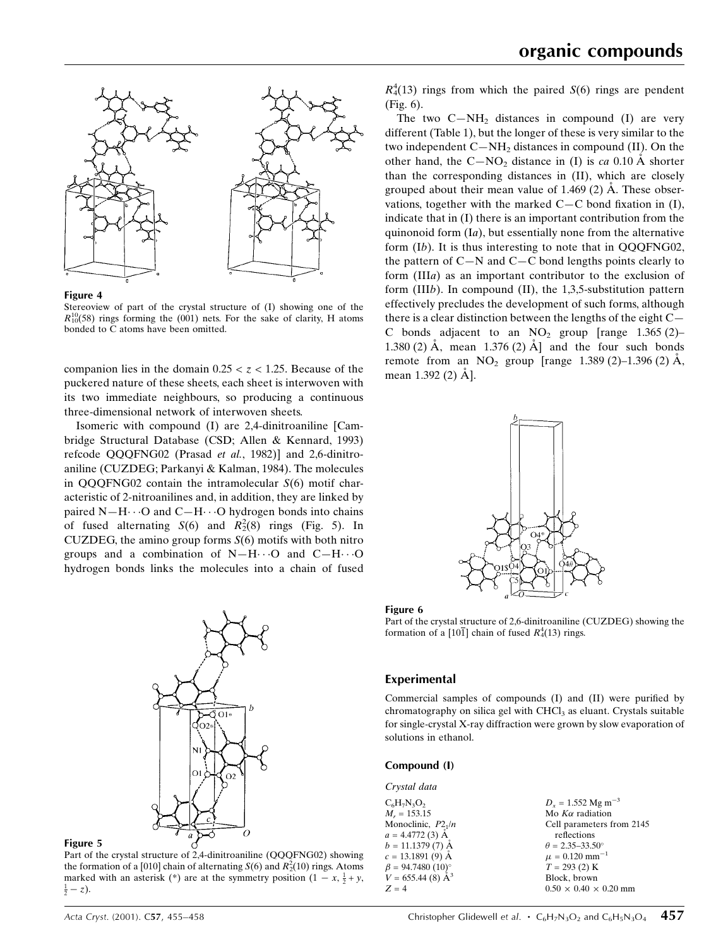



Stereoview of part of the crystal structure of (I) showing one of the  $R_{10}^{10}$ (58) rings forming the (001) nets. For the sake of clarity, H atoms bonded to C atoms have been omitted.

companion lies in the domain  $0.25 < z < 1.25$ . Because of the puckered nature of these sheets, each sheet is interwoven with its two immediate neighbours, so producing a continuous three-dimensional network of interwoven sheets.

Isomeric with compound (I) are 2,4-dinitroaniline [Cambridge Structural Database (CSD; Allen & Kennard, 1993) refcode QQQFNG02 (Prasad et al., 1982)] and 2,6-dinitroaniline (CUZDEG; Parkanyi & Kalman, 1984). The molecules in  $OOOFNG02$  contain the intramolecular  $S(6)$  motif characteristic of 2-nitroanilines and, in addition, they are linked by paired  $N-H\cdots$ O and  $C-H\cdots$ O hydrogen bonds into chains of fused alternating  $S(6)$  and  $R_2^2(8)$  rings (Fig. 5). In CUZDEG, the amino group forms  $S(6)$  motifs with both nitro groups and a combination of  $N-H\cdots$ O and  $C-H\cdots$ O hydrogen bonds links the molecules into a chain of fused



Figure 5

Part of the crystal structure of 2,4-dinitroaniline (QQQFNG02) showing the formation of a [010] chain of alternating  $S(6)$  and  $R_2^2(10)$  rings. Atoms marked with an asterisk (\*) are at the symmetry position  $(1 - x, \frac{1}{2} + y, \frac{1}{2} - z)$  $rac{1}{2} - z$ ).

 $R_4^4(13)$  rings from which the paired  $S(6)$  rings are pendent (Fig. 6).

The two  $C-NH_2$  distances in compound (I) are very different (Table 1), but the longer of these is very similar to the two independent  $C-NH_2$  distances in compound (II). On the other hand, the  $C-NO<sub>2</sub>$  distance in (I) is ca 0.10 Å shorter than the corresponding distances in (II), which are closely grouped about their mean value of  $1.469(2)$  Å. These observations, together with the marked  $C-C$  bond fixation in (I), indicate that in (I) there is an important contribution from the quinonoid form  $(Ia)$ , but essentially none from the alternative form (Ib). It is thus interesting to note that in QQQFNG02, the pattern of  $C-N$  and  $C-C$  bond lengths points clearly to form (IIIa) as an important contributor to the exclusion of form (IIIb). In compound (II), the 1,3,5-substitution pattern effectively precludes the development of such forms, although there is a clear distinction between the lengths of the eight  $C-\overline{C}$ C bonds adjacent to an  $NO<sub>2</sub>$  group [range 1.365 (2)– 1.380 (2)  $\AA$ , mean 1.376 (2)  $\AA$  and the four such bonds remote from an  $NO_2$  group [range 1.389 (2)-1.396 (2) A, mean  $1.392(2)$   $\AA$ ].





Part of the crystal structure of 2,6-dinitroaniline (CUZDEG) showing the formation of a [101] chain of fused  $R_4^4(13)$  rings.

### Experimental

Commercial samples of compounds (I) and (II) were purified by chromatography on silica gel with CHCl<sub>3</sub> as eluant. Crystals suitable for single-crystal X-ray diffraction were grown by slow evaporation of solutions in ethanol.

#### Compound (I)

| Crystal data                                    |                                   |
|-------------------------------------------------|-----------------------------------|
| $C_6H_7N_3O_2$                                  | $D_x = 1.552$ Mg m <sup>-3</sup>  |
| $M_r = 153.15$                                  | Mo $K\alpha$ radiation            |
| Monoclinic, $P2_1/n$                            | Cell parameters from 2145         |
| $a = 4.4772(3)$ A                               | reflections                       |
| $b = 11.1379(7)$ A                              | $\theta = 2.35 - 33.50^{\circ}$   |
| $c = 13.1891(9)$ A                              | $\mu = 0.120$ mm <sup>-1</sup>    |
| $\beta$ = 94.7480 (10)°<br>V = 655.44 (8) $A^3$ | $T = 293(2)$ K                    |
|                                                 | Block, brown                      |
| $Z = 4$                                         | $0.50 \times 0.40 \times 0.20$ mm |
|                                                 |                                   |